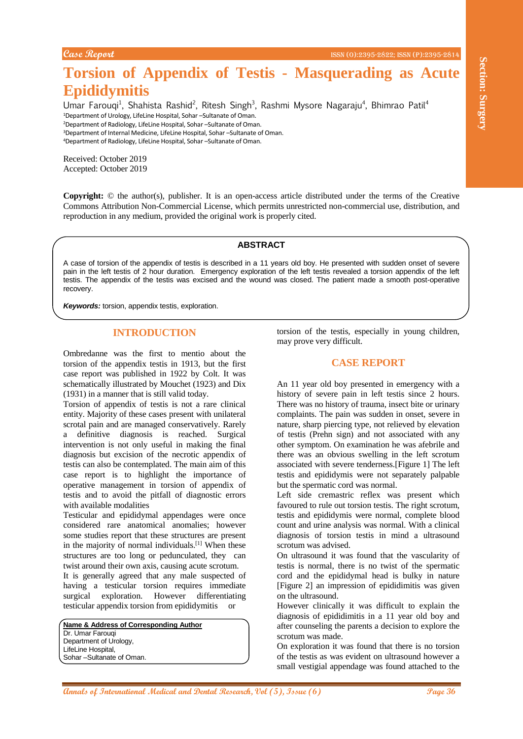**Torsion of Appendix of Testis - Masquerading as Acute Epididymitis**

Umar Farouqi<sup>1</sup>, Shahista Rashid<sup>2</sup>, Ritesh Singh<sup>3</sup>, Rashmi Mysore Nagaraju<sup>4</sup>, Bhimrao Patil<sup>4</sup> <sup>1</sup>Department of Urology, LifeLine Hospital, Sohar –Sultanate of Oman. <sup>2</sup>Department of Radiology, LifeLine Hospital, Sohar –Sultanate of Oman. <sup>3</sup>Department of Internal Medicine, LifeLine Hospital, Sohar –Sultanate of Oman. <sup>4</sup>Department of Radiology, LifeLine Hospital, Sohar –Sultanate of Oman.

Received: October 2019 Accepted: October 2019

**Copyright:** © the author(s), publisher. It is an open-access article distributed under the terms of the Creative Commons Attribution Non-Commercial License, which permits unrestricted non-commercial use, distribution, and reproduction in any medium, provided the original work is properly cited.

### **ABSTRACT**

A case of torsion of the appendix of testis is described in a 11 years old boy. He presented with sudden onset of severe pain in the left testis of 2 hour duration. Emergency exploration of the left testis revealed a torsion appendix of the left testis. The appendix of the testis was excised and the wound was closed. The patient made a smooth post-operative recovery.

*Keywords:* torsion, appendix testis, exploration.

# **INTRODUCTION**

Ombredanne was the first to mentio about the torsion of the appendix testis in 1913, but the first case report was published in 1922 by Colt. It was schematically illustrated by Mouchet (1923) and Dix (1931) in a manner that is still valid today.

Torsion of appendix of testis is not a rare clinical entity. Majority of these cases present with unilateral scrotal pain and are managed conservatively. Rarely a definitive diagnosis is reached. Surgical intervention is not only useful in making the final diagnosis but excision of the necrotic appendix of testis can also be contemplated. The main aim of this case report is to highlight the importance of operative management in torsion of appendix of testis and to avoid the pitfall of diagnostic errors with available modalities

Testicular and epididymal appendages were once considered rare anatomical anomalies; however some studies report that these structures are present in the majority of normal individuals.<sup>[1]</sup> When these structures are too long or pedunculated, they can twist around their own axis, causing acute scrotum.

It is generally agreed that any male suspected of having a testicular torsion requires immediate surgical exploration. However differentiating testicular appendix torsion from epididymitis or

**Name & Address of Corresponding Author** Dr. Umar Farouqi Department of Urology, LifeLine Hospital, Sohar –Sultanate of Oman.

torsion of the testis, especially in young children, may prove very difficult.

# **CASE REPORT**

**Torsion of Appendix of Testis - Masquerading as Acute**<br> **Epididivisition** is added, these Segal, Radio Mesoe Negocayi, Blumas Padi-<br>
How from the acute and the acute and the acute of the acute of the acute of the acute of An 11 year old boy presented in emergency with a history of severe pain in left testis since 2 hours. There was no history of trauma, insect bite or urinary complaints. The pain was sudden in onset, severe in nature, sharp piercing type, not relieved by elevation of testis (Prehn sign) and not associated with any other symptom. On examination he was afebrile and there was an obvious swelling in the left scrotum associated with severe tenderness.[Figure 1] The left testis and epididymis were not separately palpable but the spermatic cord was normal.

Left side cremastric reflex was present which favoured to rule out torsion testis. The right scrotum, testis and epididymis were normal, complete blood count and urine analysis was normal. With a clinical diagnosis of torsion testis in mind a ultrasound scrotum was advised.

On ultrasound it was found that the vascularity of testis is normal, there is no twist of the spermatic cord and the epididymal head is bulky in nature [Figure 2] an impression of epididimitis was given on the ultrasound.

However clinically it was difficult to explain the diagnosis of epididimitis in a 11 year old boy and after counseling the parents a decision to explore the scrotum was made.

On exploration it was found that there is no torsion of the testis as was evident on ultrasound however a small vestigial appendage was found attached to the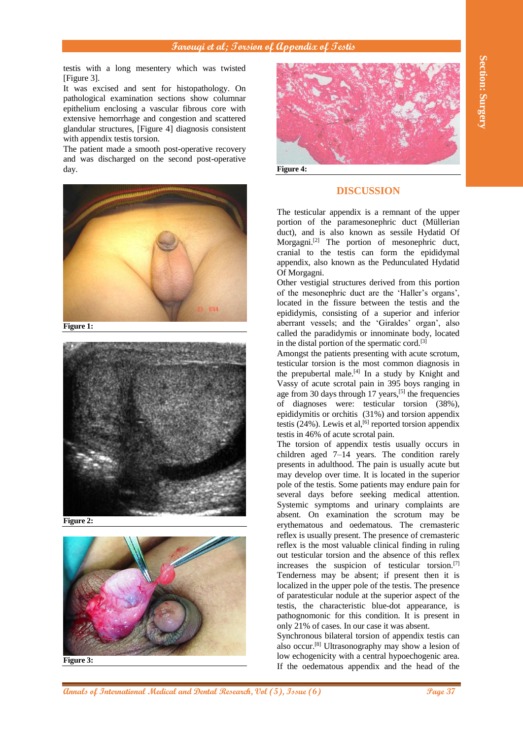## **Farouqi et al; Torsion of Appendix of Testis**

testis with a long mesentery which was twisted [Figure 3].

It was excised and sent for histopathology. On pathological examination sections show columnar epithelium enclosing a vascular fibrous core with extensive hemorrhage and congestion and scattered glandular structures, [Figure 4] diagnosis consistent with appendix testis torsion.

The patient made a smooth post-operative recovery and was discharged on the second post-operative day.



**Figure 1:**



**Figure 2:**



**Figure 3:**



**Figure 4:**

#### **DISCUSSION**

The testicular appendix is a remnant of the upper portion of the paramesonephric duct (Müllerian duct), and is also known as sessile Hydatid Of Morgagni.[2] The portion of mesonephric duct, cranial to the testis can form the epididymal appendix, also known as the Pedunculated Hydatid Of Morgagni.

Other vestigial structures derived from this portion of the mesonephric duct are the 'Haller's organs', located in the fissure between the testis and the epididymis, consisting of a superior and inferior aberrant vessels; and the 'Giraldes' organ', also called the paradidymis or innominate body, located in the distal portion of the spermatic cord.<sup>[3]</sup>

Amongst the patients presenting with acute scrotum, testicular torsion is the most common diagnosis in the prepubertal male.<sup>[4]</sup> In a study by Knight and Vassy of acute scrotal pain in 395 boys ranging in age from 30 days through 17 years,<sup>[5]</sup> the frequencies of diagnoses were: testicular torsion (38%), epididymitis or orchitis (31%) and torsion appendix testis (24%). Lewis et al,  $[6]$  reported torsion appendix testis in 46% of acute scrotal pain.

**And the section of International Control and The Control and The Control and The Control and The Control and Dental Research, One of International Control and The Control and The Control and The Control and The Control an** The torsion of appendix testis usually occurs in children aged 7–14 years. The condition rarely presents in adulthood. The pain is usually acute but may develop over time. It is located in the superior pole of the testis. Some patients may endure pain for several days before seeking medical attention. Systemic symptoms and urinary complaints are absent. On examination the scrotum may be erythematous and oedematous. The cremasteric reflex is usually present. The presence of cremasteric reflex is the most valuable clinical finding in ruling out testicular torsion and the absence of this reflex increases the suspicion of testicular torsion.[7] Tenderness may be absent; if present then it is localized in the upper pole of the testis. The presence of paratesticular nodule at the superior aspect of the testis, the characteristic blue-dot appearance, is pathognomonic for this condition. It is present in only 21% of cases. In our case it was absent.

Synchronous bilateral torsion of appendix testis can also occur.[8] Ultrasonography may show a lesion of low echogenicity with a central hypoechogenic area. If the oedematous appendix and the head of the